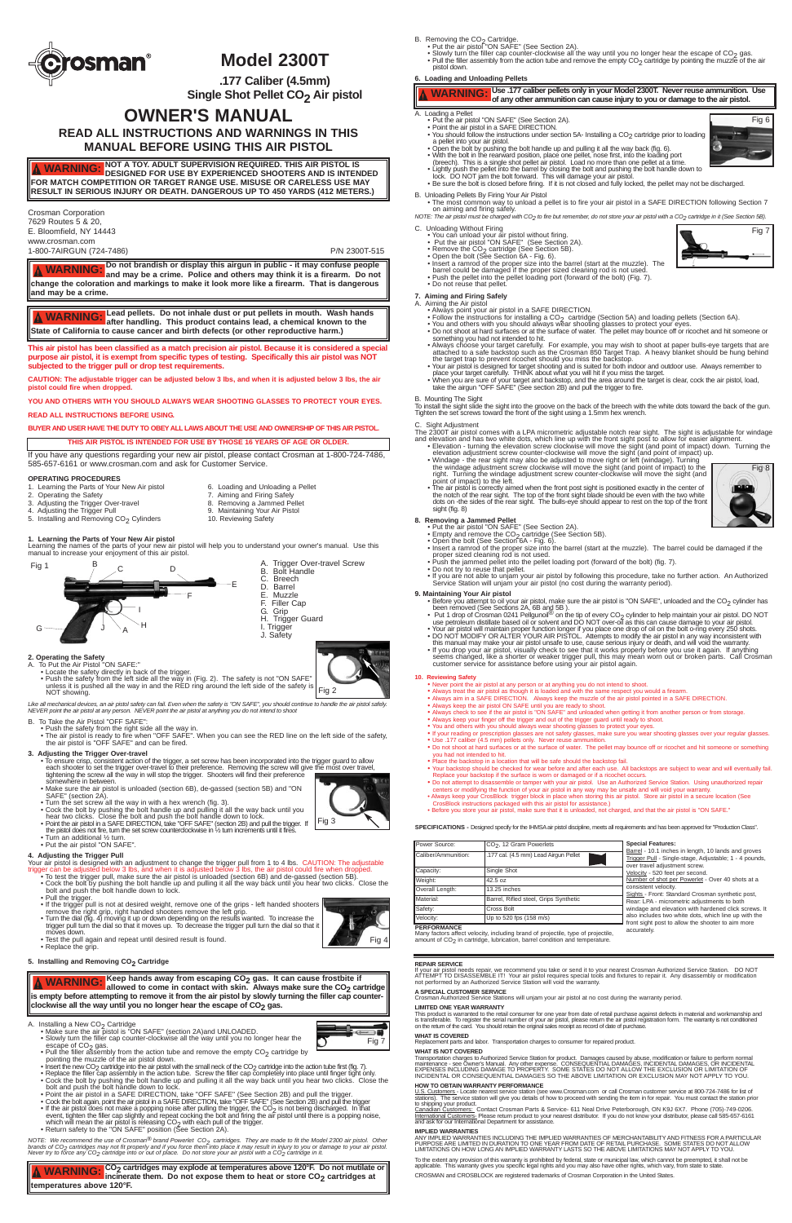- 1. Learning the Parts of Your New Air pistol 6. Loading and Unloading a Pellet 2. Operating the Safety 7. Aiming and Firing Safely
- 
- 3. Adjusting the Trigger Over-travel 8.
	-
- 4. Adjusting the Trigger Pull 1.4. Maintaining Your Air Pistol<br>5. Installing and Removing CO<sub>2</sub> Cylinders 10. Reviewing Safety  $5.$  Installing and Removing CO<sub>2</sub> Cylinders
- **1. Learning the Parts of Your New Air pistol**

Learning the names of the parts of your new air pistol will help you to understand your owner's manual. Use this manual to increase your enjoyment of this air pistol.

- 
- 2. Operating the Safety<br>
A. To Put the Air Pistol "ON SAFE:"<br>
 Locate the safety directly in back of the trigger.<br>
 Push the safety from the left side all the way in (Fig. 2). The safety is not "ON SAFE"<br>
 Push the safe
	- NOT showing.

Like all mechanical devices, an air pistol safety can fail. Even when the safety is "ON SAFE", you should continue to handle the air pistol safely.<br>NEVER point the air pistol at any person. NEVER point the air pistol at a

- 
- 
- B. To Take the Air Pistol "OFF SAFE":<br>• Push the safety from the right side all the way in.<br>• The air pistol is ready to fire when "OFF SAFE". When you can see the RED line on the left side of the safety,<br>the air pistol is

## **3. Adjusting the Trigger Over-travel**

- To ensure crisp, consistent action of the trigger, a set screw has been incorporated into the trigger guard to allow<br>each shooter to set the trigger over-travel to their preference. Removing the screw will give the most somewhere in between.
- Make sure the air pistol is unloaded (section 6B), de-gassed (section 5B) and "ON
- SAFE" (section 2A).<br>• Turn the set screw all the way in with a hex wrench (fig. 3).<br>• Cock the bolt by pushing the bolt handle up and pulling it all the way back until you<br>hear two clicks. Close the bolt and push the bolt
- Point the air pistol in a SAFE DIRECTION, take "OFF SAFE" (section 2B) and pull the trigger. If<br>the pistol does not fire, tum the set screw counterclockwise in ½ tum increments until it fires.<br>• Turn an additional ½ turn
- 
- 
- Put the air pistol "ON SAFE".
- **4. Adjusting the Trigger Pull** Your air pistol is designed with an adjustment to change the trigger pull from 1 to 4 lbs. CAUTION: The adjustable<br>trigger can be adjusted below 3 lbs, and when it is adjusted below 3 lbs, the air pistol could fire when
- Cock the bolt by pushing the bolt handle up and pulling it all the way back until you hear two clicks. Close the bolt and push the bolt handle down to lock.
- Pull the trigger. • If the trigger pull is not at desired weight, remove one of the grips - left handed shooters remove the right grip, right handed shooters remove the left grip.<br>● Turn the dial (fig. 4) moving it up or down depending on the results wanted. To increase the<br>trigger pull turn the dial so that it moves up. To decrease moves down. • Test the pull again and repeat until desired result is found. • Replace the grip.

B. Removing the CO<sub>2</sub> Cartridge.<br>• Put the air pistol "ON SAFE" (See Section 2A).

**.177 Caliber (4.5mm) Single Shot Pellet CO<sub>2</sub> Air pistol** 



ANY IMPLIED WARRANTIES INCLUDING THE IMPLIED WARRANTIES OF MERCHANTABILITY AND FITNESS FOR A PARTICULAR<br>PURPOSE ARE LIMITED IN DURATION TO ONE YEAR FROM DATE OF RETAIL PURCHASE. SOME STATES DO NOT ALLOW PURPOSE ARE LIMITED IN DURATION TO ONE YEAR FROM DATE OF RETAIL PURCHASE. SOME STATES DO NOT ALLOW LIMITATIONS ON HOW LONG AN IMPLIED WARRANTY LASTS SO THE ABOVE LIMITATIONS MAY NOT APPLY TO YOU.

To the extent any provision of this warranty is prohibited by federal, state or municipal law, which cannot be preempted, it shall not be applicable. This warranty gives you specific legal rights and you may also have othe

 $\bullet$  Slowly turn the filler cap counter-clockwise all the way until you no longer hear the escape of CO<sub>2</sub> gas.<br>• Pull the filler assembly from the action tube and remove the empty CO<sub>2</sub> cartridge by pointing the muzzle o pistol down.



# **Model 2300T**

# **OWNER'S MANUAL**

**READ ALL INSTRUCTIONS AND WARNINGS IN THIS MANUAL BEFORE USING THIS AIR PISTOL**

Crosman Corporation 7629 Routes 5 & 20, E. Bloomfield, NY 14443 www.crosman.com

1-800-7AIRGUN (724-7486) P/N 2300T-515



Power Source: CO<sub>2</sub>, 12 Gram Powerlets Caliber/Ammunition: 1.177 cal. (4.5 mm) Lead Airgun Pellet

Capacity: Single Shot Weight: 42.5 oz Overall Length: 13.25 inches

Many factors affect velocity, including brand of projectile, type of projectile,<br>amount of CO<sub>2</sub> in cartridge, lubrication, barrel condition and temperature.

**REPAIR SERVICE**

lf your air pistol needs repair, we recommend you take or send it to your nearest Crosman Authorized Service Station. DO NOT<br>ATTEMPT TO DISASSEMBLE IT! Your air pistol requires special tools and fixtures to repair it. Any

**A SPECIAL CUSTOMER SERVICE** Crosman Authorized Service Stations will unjam your air pistol at no cost during the warranty period.

### **LIMITED ONE YEAR WARRANTY**

This product is warranted to the retail consumer for one year from date of retail purchase against defects in material and workmanship and<br>is transferable. To register the serial number of your air pistol, please retum the

### **WHAT IS COVERED**

Replacement parts and labor. Transportation charges to consumer for repaired product.

### **WHAT IS NOT COVERED**

Transportation charges to Authorized Service Station for product. Damages caused by abuse, modification or failure to perform normal<br>maintenance - see Owner's Manual. Any other expense. CONSEQUENTIAL DAMAGES, INCIDENTAL DA

### **HOW TO OBTAIN WARRANTY PERFORMANCE**

U.S. Customers - Locate nearest service station (see www.Crosman.com or call Crosman customer service at 800-724-7486 for list of<br>stations). The service station will give you details of how to proceed with sending the item

to shipping your product.<br><u>Canadian Customers:</u> Contact Crosman Parts & Service- 611 Neal Drive Peterborough, ON K9J 6X7. Phone (705)-749-0206.<br>I<u>nternational Customers</u>: Please return product to your nearest distributor.

- 
- 
- 
- Before you attempt to oil your air pistol, make sure the air pistol is "ON SAFE", unloaded and the CO<sub>2</sub> cylinder has<br>been removed (See Sections 2A, 6B and 5B).<br>• Dut 1 drop of Crosman 0241 Pellgunoil<sup>69</sup> on the tip of
- customer service for assistance before using your air pistol again.

• If your reading or prescription glasses are not safety glasses, make sure you wear shooting glasses over your regular glasses. • Use .177 caliber (4.5 mm) pellets only. Never reuse ammunition. • Do not shoot at hard surfaces or at the surface of water. The pellet may bounce off or ricochet and hit someone or something \_you had not intended to hit.<br>● Place the backstop in a location that will be safe should the backstop fail.<br>● Your backstop should be checked for wear before and after each use. All backstops are subject to wear and will

### **IMPLIED WARRANTIES**

Replace your backstop if the surface is worn or damaged or if a ricochet occurs.<br>● Do not attempt to disassemble or tamper with your air pistol. Use an Authorized Service Station. Using unauthorized repair<br>©centers or mod • Always keep your CrosBlock trigger block in place when storing this air pistol. Store air pistol in a secure location (See CrosBlock instructions packaged with this air pistol for assistance.) • Before you store your air pistol, make sure that it is unloaded, not charged, and that the air pistol is "ON SAFE."

CROSMAN and CROSBLOCK are registered trademarks of Crosman Corporation in the United States.

**6. Loading and Unloading Pellets**

- A. Loading a Pellet
	-
	- Put the air pistol "ON SAFE" (See Section 2A).<br>• Point the air pistol in a SAFE DIRECTION.<br>• You should follow the instructions under section 5A- Installing a CO<sub>2</sub> cartridge prior to loading
	- a pellet into your air pistol.<br>
	 Open the bolt ty pushing the bolt handle up and pulling it all the way back (fig. 6).<br>
	 With the bolt in the rearward position, place one pellet, nose first, into the loading port<br>
	(breec
- 
- 
- 
- 
- B. Unloading Pellets By Firing Your Air Pistol
- The most common way to unload a pellet is to fire your air pistol in a SAFE DIRECTION following Section 7 on aiming and firing safely. *NOTE: The air pistol must be charged with CO2 to fire but remember, do not store your air pistol with a CO2 cartridge in it (See Section 5B).*

- 
- 
- 
- 
- 
- C. Unloading Without Firing<br>
 You can unload your air pistol without firing.<br>
 Put the air pistol "ON SAFE" (See Section 2A).<br>
 Remove the CO<sub>2</sub> cartridge (See Section 5B).<br>
 Open the bolt (See Section 6A Fig. 6).<br>
	-

- -
	-
- 7. Aiming and Firing Safely<br>
A. Aiming the Air pistol<br>
 Always point your air pistol in a SAFE DIRECTION.<br>
 Follow the instructions for installing a CO<sub>2</sub> cartridge (Section 5A) and loading pellets (Section 6A).<br>
 You a
	- something you had not intended to hit.<br>
	 Always choose your rarget carefully. For example, you may wish to shoot at paper bulls-eye targets that are<br>
	4 Havays choose your target carefully. For example, you may wish to sho
	-
	-

Barrel - 10.1 inches in length, 10 lands and groves Trigger Pull - Single-stage, Adjustable; 1 - 4 pounds,

Sights - Front: Standard Crosman synthetic post, Rear: LPA - micrometric adjustments to both windage and elevation with hardened click screws. It also includes two white dots, which line up with the front sight post to allow the shooter to aim more accurately.

- 
- A. Installing a New CO<sub>2</sub> Cartridge<br>• Make sure the air pistol is "ON SAFE" (section 2A)and UNLOADED.
	- Slowly turn the filler cap counter-clockwise all the way until you no longer hear the Subwiy until the filler assembly from the action tube and remove the empty CO<sub>2</sub> cartridge by<br>Pull the filler assembly from the action tube and remove the empty CO<sub>2</sub> cartridge by
- $\equiv$   $\blacksquare$ Fig 7

B. Mounting The Sight To install the sight slide the sight into the groove on the back of the breech with the white dots toward the back of the gun. Tighten the set screws toward the front of the sight using a 1.5mm hex wrench.

- C. Sight Adjustment The 2300T air pistol comes with a LPA micrometric adjustable notch rear sight. The sight is adjustable for windage
- 
- and elevation and has two white dots, which line up with the front sight post to allow for easier alignment.<br>
 Elevation turning the elevation screw clockwise will move the sight (and point of impact) down. Turning the<br>
	- The air pistol is correctly aimed when the front post sight is positioned exactly in the center of<br>the notch of the rear sight. The top of the front sight blade should be even with the two white<br>dots on -the sides of the sight (fig. 8)

- 
- -
- 8. Removing a Jammed Pellet<br>
 Put the air pistol "ON SAFE" (See Section 2A).<br>
 Empty and remove the CO<sub>2</sub> cartridge (See Section 5B).<br>
 Open the bolt (See Section 6A Fig. 6).<br>
 Open the bolt (See Section 6A Fig. 6
	-
	-
	- If you are not able to unjam your air pistol by following this procedure, take no further action. An Authorized Service Station will unjam your air pistol (no cost during the warranty period).

### **9. Maintaining Your Air pistol**

### **10. Reviewing Safety**

• Never point the air pistol at any person or at anything you do not intend to shoot.

• Always check to see if the air pistol is "ON SAFE" and unloaded when getting it from another person or from storage. • Always keep your finger off the trigger and out of the trigger guard until ready to shoot.

SPECIFICATIONS - Designed specify for the IHMSA air pistol discipline, meets all requirements and has been approved for "Production Class".

• You and others with you should always wear shooting glasses to protect your eyes.

- 
- Always treat the air pistol as though it is loaded and with the same respect you would a firearm.<br>● Always aim in a SAFE DIRECTION. Always keep the muzzle of the air pistol pointed in a SAFE DIRECTION.<br>● Always keep the

**This air pistol has been classified as a match precision air pistol. Because it is considered a special purpose air pistol, it is exempt from specific types of testing. Specifically this air pistol was NOT subjected to the trigger pull or drop test requirements.**

**CAUTION: The adjustable trigger can be adjusted below 3 lbs, and when it is adjusted below 3 lbs, the air pistol could fire when dropped.**

**YOU AND OTHERS WITH YOU SHOULD ALWAYS WEAR SHOOTING GLASSES TO PROTECT YOUR EYES.**

**READ ALL INSTRUCTIONS BEFORE USING.**

**BUYER AND USER HAVE THE DUTY TO OBEY ALL LAWS ABOUT THE USE AND OWNERSHIP OF THIS AIR PISTOL.**

If you have any questions regarding your new air pistol, please contact Crosman at 1-800-724-7486, 585-657-6161 or www.crosman.com and ask for Customer Service.

7. Aiming and Firing Safely<br>8. Removing a Jammed Pellet

**NOT A TOY. ADULT SUPERVISION REQUIRED. THIS AIR PISTOL IS DESIGNED FOR USE BY EXPERIENCED SHOOTERS AND IS INTENDED FOR MATCH COMPETITION OR TARGET RANGE USE. MISUSE OR CARELESS USE MAY RESULT IN SERIOUS INJURY OR DEATH. DANGEROUS UP TO 450 YARDS (412 METERS.) WARNING:**

### **OPERATING PROCEDURES**

**Do not brandish or display this airgun in public - it may confuse people and may be a crime. Police and others may think it is a firearm. Do not change the coloration and markings to make it look more like a firearm. That is dangerous and may be a crime. WARNING:**

### **THIS AIR PISTOL IS INTENDED FOR USE BY THOSE 16 YEARS OF AGE OR OLDER.**

**Lead pellets. Do not inhale dust or put pellets in mouth. Wash hands after handling. This product contains lead, a chemical known to the State of California to cause cancer and birth defects (or other reproductive harm.) WARNING:**



Fig 2

Fig 3

- 
- 
- 
- 
- 
- 
- Pull the filler assembly from the action tube and remove the empty  $CO_2$  cartridge by<br>pointing the muzzle of the air pistol down.<br>• heset the new CO<sub>2</sub> cartridge into the air pistol with the small neck of the CO<sub>2</sub> cart
- 

NOTE: We recommend the use of Crosman<sup>®</sup> brand Powerlet CO<sub>2</sub> cartridges. They are made to fit the Model 2300 air pistol. Other<br>brands of CO<sub>2</sub> cartridges may not fit properly and if you force them into place it may result

Fig 4

Fig 6

**Keep hands away from escaping CO2 gas. It can cause frostbite if** allowed to come in contact with skin. Always make sure the CO<sub>2</sub> cartridge is empty before attempting to remove it from the air pistol by slowly turning the filler cap counterclockwise all the way until you no longer hear the escape of CO<sub>2</sub> gas. **WARNING:**

# **Use .177 caliber pellets only in your Model 2300T. Never reuse ammunition. Use WARNING: of any other ammunition can cause injury to you or damage to the air pistol.**

Fig 7

**Special Features:**

over travel adjustment screw. Velocity - 520 feet per second.

Number of shot per Powerlet - Over 40 shots at a

consistent velocity.

Fig 8

**CO2 cartridges may explode at temperatures above 120°F. Do not mutilate or WARNING:**

incinerate them. Do not expose them to heat or store CO<sub>2</sub> cartridges at

**temperatures above 120°F.**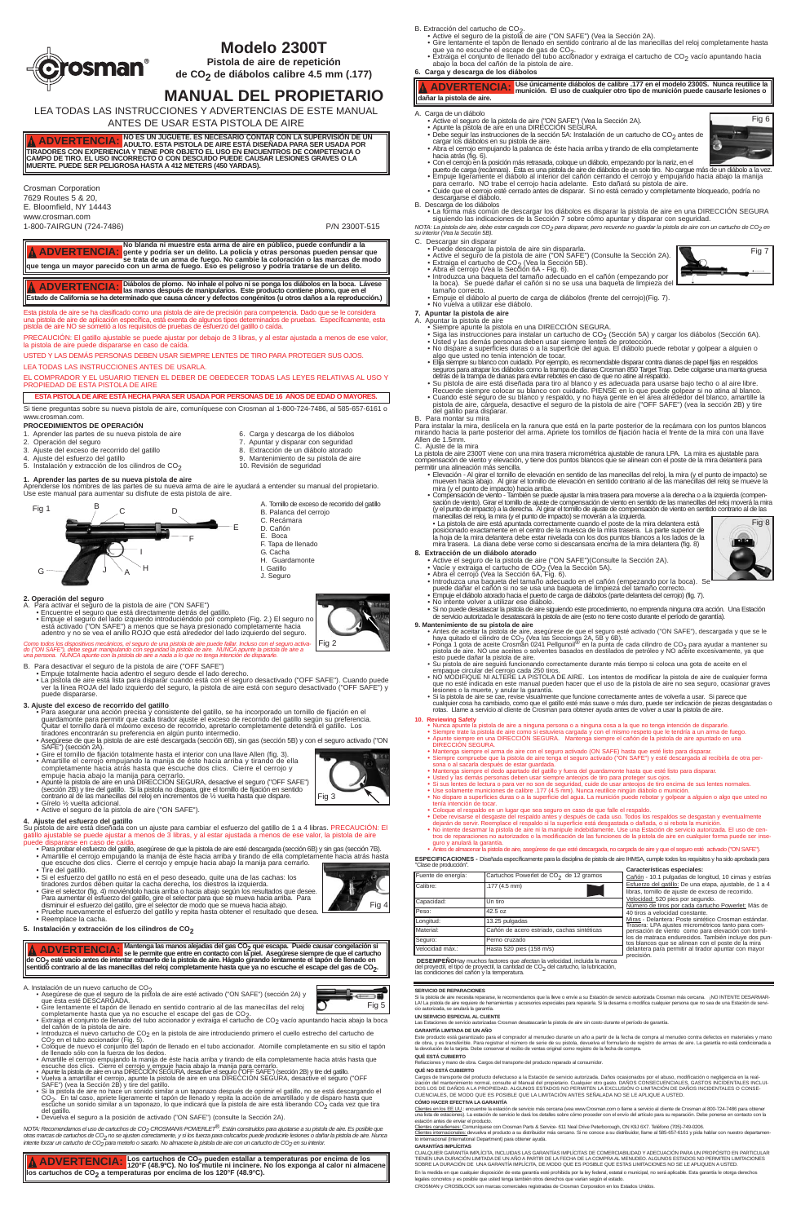- 5. Instalación y extracción de los cilindros de  $CO<sub>2</sub>$  10. Revisión de seguridad
- **1. Aprender las partes de su nueva pistola de aire**

Aprenderse los nombres de las partes de su nueva arma de aire le ayudará a entender su manual del propietario. Use este manual para aumentar su disfrute de esta pistola de aire.

- **2. Operación del seguro** A. Para activar el seguro de la pistola de aire ("ON SAFE")
- Encuentre el seguro que está directamente detrás del gatillo.<br>• Empuje el seguro del lado izquierdo introduciéndolo por completo (Fig. 2.) El seguro no<br>• está activado ("ON SAFE") a menos que se haya presionado completa
	- adentro y no se vea el anillo ROJO que está alrededor del lado izquierdo del seguro.

Como todos los dispositivos mecánicos, el seguro de una pistola de aire puede fallar. Incluso con el seguro activa-<br>do ("ON SAFE"), debe seguir manipulando con seguridad la pistola de aire. NUNCA apunte la pistola de aire

- -
- B. Para desactivar el seguro de la pistola de aire ("OFF SAFE")<br>● Empuje totalmente hacia adentro el seguro desde el lado derecho.<br>● La pistola de aire está lista para disparar cuando está con el seguro desactivado ("OFF ver la línea ROJA del lado izquierdo del seguro, la pistola de aire está con seguro desactivado ("OFF SAFE") y puede dispararse.

- 3**. Ajuste del exceso de recorrido del gatillo**<br>Para asegurar una acción precisa y consistente del gatillo, se ha incorporado un tornillo de fijación en el •<br>guardamonte para permitir que cada tirador ajuste el exceso de r Quitar el tornillo dará el máximo exceso de recorrido, apretarlo completamente detendrá el gatillo. Los<br> tiradores encontrarán su preferencia en algún punto intermedio.<br>● Asegúrese de que la pistola de aire esté descarga
- 
- SAFE") (sección 2A). Gire el tornillo de fijación totalmente hasta el interior con una llave Allen (fig. 3). Amartille el cerrojo empujando la manija de éste hacia arriba y tirando de ella
- completamente hacia atrás hasta que escuche dos clics. Cierre el cerrojo y empuje hacia abajo la manija para cerrarlo. Apunte la pistola de aire en una DIRECCIÓN SEGURA, desactive el seguro ("OFF SAFE")
- (sección 2B) y tire del gatillo. Si la pistola no dispara, gire el tornillo de fijación en sentido contrario al de las manecillas del reloj en incrementos de ½ vuelta hasta que dispare. Gírelo ½ vuelta adicional.
- Active el seguro de la pistola de aire ("ON SAFE").

- ∙ Para probar el esfuerzo del gatillo, asegúrese de que la pistola de aire esté descargada (sección δB) y sin gas (sección 7B).<br>◆ Amartille el cerrojo empujando la manija de éste hacia arriba y tirando de ella completame
- Tire del gatillo. • Si el esfuerzo del gatillo no está en el peso deseado, quite una de las cachas: los tiradores zurdos deben quitar la cacha derecha, los diestros la izquierda.
- 
- Gire el selector (fig. 4) moviéndolo hacia arriba o hacia abajo según los resultados que desee.

## **4. Ajuste del esfuerzo del gatillo**

# Su pístola de aire está diseñada con un ajuste para cambiar el esfuerzo del gatillo de 1 a 4 libras. PRECAUCION: El<br>gatillo ajustable se puede ajustar a menos de 3 libras, y al estar ajustada a menos de ese valor, la pisto

- 
- completamente hasta que ya no escuche el escape del gas de CO<sub>2</sub>.<br>• Extraiga el conjunto de llenado del tubo accionador y extraiga el cartucho de CO<sub>2</sub> vacío apuntando hacia abajo la boca<br>· del cañón de la pistola de aire.
- Introduzca el nuevo cartucho de CO2 en la pistola de aire introduciendo primero el cuello estrecho del cartucho de
- CO<sub>2</sub> en el tubo accionador (Fig. 5). <sup>2</sup><br>• Coloque de nuevo el conjunto del tapón de llenado en el tubo accionador. Atornille completamente en su sitio el tapón de llenado sólo con la fuerza de los dedos.
- 
- 
- Amartille el cerrojo empujando la manija de éste hacia arriba y tirando de ella completamente hacia atrás hasta que<br>escuche dos clics. Cierre el cerrojo y empuje hacia abajo la manija para cerrarlo.<br>• Apunte la pistola d
- CO<sub>2</sub>. En tal caso, apriete ligeramente el tapón de llenado y repita la acción de amartillado y de disparo hasta que<br>escuche un sonido similar a un taponazo, lo que indicará que la pistola de aire está liberando CO<sub>2</sub> cada del gatillo.
- Devuelva el seguro a la posición de activado ("ON SAFE") (consulte la Sección 2A).

*NOTA: Recomendamos el uso de cartuchos de CO2 CROSMAN® POWERLET®. Están construidos para ajustarse a su pistola de aire. Es posible que otras marcas de cartuchos de CO2 no se ajusten correctamente, y si los fuerza para colocarlos puede producirle lesiones o dañar la pistola de aire. Nunca intente forzar un cartucho de CO<sub>2</sub> para meterlo o sacarlo. No almacene la pistola de aire con un cartucho de CO<sub>2</sub> en su interior.* 

**DESEMPEÑO**Hay muchos factores que afectan la velocidad, incluida la marca del proyectil, el tipo de proyectil, la cantidad de CO<sub>2</sub> del cartucho, la lubricación,<br>las condiciones del cañón y la temperatura.

- Para aumentar el esfuerzo del gatillo, gire el selector para que se mueva hacia arriba. Para disminuir el esfuerzo del gatillo, gire el selector de modo que se mueva hacia abajo.
- Pruebe nuevamente el esfuerzo del gatillo y repita hasta obtener el resultado que desea.
- Reemplace la cacha.
- **5. Instalación y extracción de los cilindros de CO2**
- B. Extracción del cartucho de CO<sub>2</sub>.<br>• Active el seguro de la pistola de aire ("ON SAFE") (Vea la Sección 2A).
- Gire lentamente el tapón de llenado en sentido contrario al de las manecillas del reloj completamente hasta que ya no escuche el escape de gas de CO<sub>2</sub>.<br>• Extraiga el conjunto de llenado del tubo accionador y extraiga el cartucho de CO<sub>2</sub> vacío apuntando hacia
- abajo la boca del cañón de la pistola de aire. **6. Carga y descarga de los diábolos**

# **Modelo 2300T**

**Pistola de aire de repetición de CO2 de diábolos calibre 4.5 mm (.177)**

# **MANUAL DEL PROPIETARIO**

manecillas del reloj, la mira (y el punto de impacto) se moverán a la izquierda.<br>• La pistola de aire está apuntada correctamente cuando el poste de la mira delantera está<br>posicionado exactamente en el centro de la muesca la hoja de la mira delantera debe estar nivelada con los dos puntos blancos a los lados de la mira trasera. La diana debe verse como si descansara encima de la mira delantera (fig. 8)

- 
- 
- 
- **8. Extracción de un diábolo atorado**<br>
 Active el seguro de la pistola de aire ("ON SAFE")(Consulte la Sección 2A).<br>
 Vacíe y extraiga el cartucho de CO<sub>2</sub> (Vea la Sección 5A).<br>
 Abra el cerrojo (Vea la Sección 6A, Fig.
	- puede dañar el cañón si no se usa una baqueta de limpieza del tamaño correcto.<br>● Empuje el diábolo atorado hacia el puerto de carga de diábolos (parte delantera del cerrojo) (fig. 7).<br>● No intente volver a utilizar ese
	-
	- Si no puede desatascar la pistola de aire siguiendo este procedimiento, no emprenda ninguna otra acción. Una Estación<br>• de servicio autorizada le desatascará la pistola de aire (esto no tiene costo durante el período de
- 
- 

LEA TODAS LAS INSTRUCCIONES Y ADVERTENCIAS DE ESTE MANUAL ANTES DE USAR ESTA PISTOLA DE AIRE

### Crosman Corporation 7629 Routes 5 & 20,

E. Bloomfield, NY 14443 www.crosman.com

1-800-7AIRGUN (724-7486) P/N 2300T-515

**ESPECIFICACIONES -** Diseñada específicamente para la disciplina de pistola de aire IHMSA, cumple todos los requisitos y ha sido aprobada para

"Clase de producción".

Calibre: .177 (4.5 mm)

| Capacidad:      | Un tiro                                    |
|-----------------|--------------------------------------------|
| Peso:           | 42.5 oz                                    |
| Longitud:       | 13.25 pulgadas                             |
| Material:       | Cañón de acero estriado, cachas sintéticas |
| Sequro:         | Perno cruzado                              |
| Velocidad máx.: | Hasta 520 pies (158 m/s)                   |

Fuente de energía: Cartuchos Powerlet de CO<sub>2</sub> de 12 gramos

Número de tiros por cada cartucho Powerlet: Más de Número de tiros por cada cartucho Powerlet: Más de<br>40 tiros a velocidad constante.<br><u>Miras</u> - Delantera: Poste sintético Crosman estándar.<br>Trasera: LPA ajustes micrométricos tanto para com-<br>pensación de viento como para ele

Esta pistola de aire se ha clasificado como una pistola de aire de precisión para competencia. Dado que se le considera<br>una pistola de aire de aplicación específica, está exenta de algunos tipos determinados de pruebas. Es pistola de aire NO se sometió a los requisitos de pruebas de esfuerzo del gatillo o caída.

### B. Descarga de los diábolos

• La forma más común de descargar los diábolos es disparar la pistola de aire en una DIRECCIÓN SEGURA siguiendo las indicaciones de la Sección 7 sobre cómo apuntar y disparar con seguridad.

*NOTA: La pistola de aire, debe estar cargada con CO2 para disparar, pero recuerde no guardar la pistola de aire con un cartucho de CO2 en su interior (Vea la Sección 5B).*

**A ADVERTENCIA:** NO ES UN JUGUETE. ES NECESARIO CONTAR CON LA SUPERVISIÓN DE UN TRADORES CON EXPERICIA Y TIOLITO. ESTA PISTOLA DE URA DE SISTÁ DISEÑADA PARA SER USADA POR<br>TIRADORES CON EXPERIENCIA Y TIENE POR OBJETO EL USO **ADVERTENCIA:**

- Aprender las partes de su nueva pistola de aire **6.** Carga y descarga de los diábolos
- 
- 2. Operación del seguro 7. Apuntar y disparar con seguridad 3. Ajuste del exceso de recorrido del gatillo 3. Ajuste del exceso de recorrido del gatillo 3. Ajuste del exceso de recorrido del gatillo
	- Ajuste del exceso de recorrido del gatillo
- 
- 4. Ajuste del esfuerzo del gatillo 9. Mantenimiento de su pistola de aire
- C. Descargar sin disparar Puede descargar la pistola de aire sin dispararla.
	-
	-
	- Active el seguro de la pistola de aire ("ON SAFE") (Consulte la Sección 2A).<br>• Extraiga el cartucho de CO<sub>2</sub> (Vea la Sección 5B).<br>• Abra el cerrojo (Vea la Sección 6A Fig. 6).<br>• Introduzca una baqueta del tamaño adecua la boca). Se puede dañar el cañón si no se usa una baqueta de limpieza del tamaño correcto.
	- Empuje el diábolo al puerto de carga de diábolos (frente del cerrojo)(Fig. 7).

**ADVERTENCIA:** Diábolos de plomo. No inhale el polvo ni se ponga los diábolos en la boca. Lávese<br>**ADVERTENCIA:** las manos después de manipularios. Este producto contiene plomo, que en el Δ **Estado de California se ha determinado que causa cáncer y defectos congénitos (u otros daños a la reproducción.)**

## • No vuelva a utilizar ese diábolo.

A ADVERTENCIA: No blanda ni muestre esta arma de aire en público, puede confundir a la<br>A ADVERTENCIA: gente y podría ser un delito. La policía y otras personas pueden pensar que<br>que tenga un mayor parecido con un arma de f **ADVERTENCIA:**

- **7. Apuntar la pistola de aire** A. Apuntar la pistola de aire
	- ∙ Siempre apunte la pistola en una DIRECCIÓN SEGURA.<br>∙ Siga las instrucciones para instalar un cartucho de CO<sub>2</sub> (Sección 5A) y cargar los diábolos (Sección 6A).<br>∙ Usted y las demás personas deben usar siempre lentes de p
	-
	- ∙ No dispare a superficies duras o a la superficie del agua. El diábolo puede rebotar y golpear a alguien o<br>⊂algo que usted no tenía intención de tocar.<br>• Ellja siempre su blanco con cuidado. Por ejemplo, es recomendable
	-
	- seguros para atrapar los diábolos como la trampa de dianas Crosman 850 Target Trap. Debe colgarse una manta gruesa<br>detrás de la trampa de dianas para evitar rebotes en caso de que no atine al respaldo.<br>• Su pistola de aire
- del gatillo para disparar. B. Para montar su mira Para instalar la mira, deslícela en la ranura que está en la parte posterior de la recámara con los puntos blancos

.<br>Irarse, le recomendamos que la lleve o envíe a su Estación de servicio autorizada Crosman más cercana. ¡NO INTENTE DESARMAR-LA! La pistola de aire requiere de herramientas y accesorios especiales para repararla. Si la desarma o modifica cualquier persona que no sea de una Estación de servicio autorizada, se anulará la garantía.

mirando hacia la parte posterior del arma. Apriete los tornillos de fijación hacia el frente de la mira con una llave Allen de 1.5mm.

## C. Ajuste de la mira

La pistola de aire 2300T viene con una mira trasera micrométrica ajustable de ranura LPA. La mira es ajustable para compensación de viento y elevación, y tiene dos puntos blancos que se alinean con el poste de la mira delantera para permitir una alineación más sencilla.

- ∙ Elevación Al girar el tornillo de elevación en sentido de las manecillas del reloj, la mira (y el punto de impacto) se<br>mueven hacia abajo. Al girar el tornillo de elevación en sentido contrario al de las manecillas de
- Compensación de viento También se puede ajustar la mira trasera para moverse a la derecha o a la izquierda (compen-<br>sación de viento). Girar el tomillo de ajuste de compensación de viento en sentido de las manecillas d

**A ADVERTENCIA:** Los cartuchos de CO<sub>2</sub> pueden estallar a temperaturas por encima de los<br>los cartuchos de CO<sub>2</sub> a temperaturas por encima de los 120°F (48.9°C).<br>los cartuchos de CO<sub>2</sub> a temperaturas por encima de los 120°F **ADVERTENCIA:**

### **10. Reviewing Safety**

tenía intención de tocar.

- Nunca apunte la pistola de aire a ninguna persona o a ninguna cosa a la que no tenga intención de dispararle.<br>● Siempre trate la pistola de aire como si estuviera cargada y con el mismo respeto que le tendría a un arma DIRECCIÓN SEGURA
- Mantenga siempre el arma de aire con el seguro activado (ON SAFE) hasta que esté listo para disparar.<br>• Siempre compruebe que la pistola de aire tenga el seguro activado ("ON SAFE") y esté descargada al recibirla de otra

● Usted y las demás personas deben usar siempre anteojos de tiro para proteger sus ojos.<br>● Si sus lentes de lectura o para ver no son de seguridad, cuide de usar anteojos de tiro encima de sus lentes normales.<br>● Use solam

• Debe revisarse el desgaste del respaldo antes y después de cada uso. Todos los respaldos se desgastan y eventualmente<br>• No intente deservir. Reemplace el respaldo si la superficie está desgastada o dañada, o si rebota la

• Coloque el respaldo en un lugar que sea seguro en caso de que falle el respaldo.

- **9. Mantenimiento de su pistola de aire**<br>
 Antes de aceitar la pistola de aire, asegúrese de que el seguro esté activado ("ON SAFE"), descargada y que se le<br>
haya quitado el cilindro de CO<sub>2</sub> (Vea las Secciones 2A, 5B y
	- esto puede dañar la pistola de aire. Su pistola de aire seguirá funcionando correctamente durante más tiempo si coloca una gota de aceite en el
	- empaque circular del cerrojo cada 250 tiros.<br>• NO MODIFIQUE NI ALTERE LA PISTOLA DE AIRE. Los intentos de modificar la pistola de aire de cualquier forma<br>· que no esté indicada en este manual pueden hacer que el uso de
	- lesiones o la muerte, y anular la garantía.<br>• Si la pistola de aire se cae, revise visualmente que funcione correctamente antes de volverla a usar. Si parece que<br>cualquier cosa ha cambiado, como que el gatillo esté más sua

guro y anulará la garantía. • Antes de almacenar la pistola de aire, asegúrese de que esté descargada, no cargada de aire y que el seguro esté activado ("ON SAFE").

PRECAUCIÓN: El gatillo ajustable se puede ajustar por debajo de 3 libras, y al estar ajustada a menos de ese valor, la pistola de aire puede dispararse en caso de caída.

USTED Y LAS DEMÁS PERSONAS DEBEN USAR SIEMPRE LENTES DE TIRO PARA PROTEGER SUS OJOS.

LEA TODAS LAS INSTRUCCIONES ANTES DE USARLA.

**'osman<sup>®</sup>** 

## EL COMPRADOR Y EL USUARIO TIENEN EL DEBER DE OBEDECER TODAS LAS LEYES RELATIVAS AL USO Y PROPIEDAD DE ESTA PISTOLA DE AIRE

Si tiene preguntas sobre su nueva pistola de aire, comuníquese con Crosman al 1-800-724-7486, al 585-657-6161 o

### www.crosman.com. **PROCEDIMIENTOS DE OPERACIÓN**

### **ESTA PISTOLA DE AIRE ESTÁ HECHA PARA SER USADA POR PERSONAS DE 16 AÑOS DE EDAD O MAYORES.**

Fig 2

Fig 3

Fig 4

Fig 6

ß.



A. Instalación de un nuevo cartucho de CO<sub>2</sub><br>• Asegúrese de que el segur de la pistola de aire esté activado ("ON SAFE") (sección 2A) y<br>que ésta esté DESCARGADA.<br>• Gire lentamente el tapón de llenado en sentido contrario a

**Use únicamente diábolos de calibre .177 en el modelo 2300S. Nunca reutilice la munición. El uso de cualquier otro tipo de munición puede causarle lesiones o ADVERTENCIA: dañar la pistola de aire.**

Fig 7

**Características especiales:** 

Cañón - 10.1 pulgadas de longitud, 10 cimas y estrías Esfuerzo del gatillo: De una etapa, ajustable, de 1 a 4 libras, tornillo de ajuste de exceso de recorrido.

Fig 8

### A. Carga de un diábolo

- Active el seguro de la pistola de aire ("ON SAFE") (Vea la Sección 2A).<br>• Apunte la pistola de aire en una DIRECCIÓN SEGURA.<br>• Debe seguir las instrucciones de la sección 5A: Instalación de un cartucho de CO<sub>2</sub> antes de
- cargar los diábolos en su pistola de aire.
- Abra el cerrojo empujando la palanca de éste hacia arriba y tirando de ella completamente hacia atrás (fig. 6).
- Con el cerrojo en la posición más retrasada, coloque un diábolo, empezando por la nariz, en el puerto de carga (recámara). Ésta es una pistola de aire de diábolos de un solo tiro. No cargue más de un diábolo a la vez.<br>• Empuje ligeramente el diábolo al interior del cañón cerrando el cerrojo y empujando hacia abajo l
- , para cerrarlo. NO trabe el cerrojo hacia adelante. Esto dañará su pistola de aire.<br>• Cuide que el cerrojo esté cerrado antes de disparar. Si no está cerrado y completamente bloqueado, podría no<br>○ descargarse el diábo





### **SERVICIO DE REPARACIONES**

### **UN SERVICIO ESPECIAL AL CLIENTE**

Las Estaciones de servicio autorizadas Crosman desatascarán la pistola de aire sin costo durante el período de garantía

**GARANTIA LIMITADA DE UN ANO**<br>Este producto está garantizado para el comprador al menudeo durante un año a partir de la fecha de compra al menudeo contra defectos en materiales y mano<br>de obra, y es transferible. Para regis

### **QUÉ ESTÁ CUBIERTO**

Ines y mano de obra. Cargos del transporte del producto reparado al consumidor.

### **QUÉ NO ESTÁ CUBIERTO**

Cargos de transporte del producto defectuoso a la Estación de servicio autorizada. Daños ocasionados por el abuso, modificación o negligencia en la realización del mantenimiento normal, consulte el Manual del propietario. Cualquier otro gasto. DANOS CONSECUENCIALES, GASTOS INCIDENTALES INCLUI-<br>DOS LOS DE DAÑOS A LA PROPIEDAD. ALGUNOS ESTADOS NO PERMITEN LA EXCLUSIÓN O LIM CUENCIALES, DE MODO QUE ES POSIBLE QUE LA LIMITACIÓN ANTES SEÑALADA NO SE LE APLIQUE A USTED.

COMO HACER EFECTIVA LA GARANTIA<br>Clientes en los EE.UU.: encuentre la estación de servicio más cercana (vea www.Crosman.com o llame a servicio al cliente de Crosman al 800-724-7486 para obtener<br>una lista de estaciones). La

### **GARANTÍAS IMPLÍCITAS**

CUALQUIER GARANTÍA IMPLÍCITA, INCLUIDAS LAS GARANTÍAS IMPLÍCITAS DE COMERCIABILIDAD Y ADECUACIÓN PARA UN PROPÓSITO EN PARTICULAR TIENEN UNA DURACIÓN LIMITADA DE UN AÑO A PARTIR DE LA FECHA DE LA COMPRA AL MENUDEO. ALGUNOS ESTADOS NO PERMITEN LIMITACIONES SOBRE LA DURACIÓN DE UNA GARANTÍA IMPLÍCITA, DE MODO QUE ES POSIBLE QUE ESTAS LIMITACIONES NO SE LE APLIQUEN A USTED.

En la medida en que cualquier disposición de esta garantía esté prohibida por la ley federal, estatal o municipal, no será aplicable. Esta garantía le otorga derechos<br>legales concretos y es posible que usted tenga también

CROSMAN y CROSBLOCK son marcas comerciales registradas de Crosman Corporation en los Estados Unidos.



A. Tornillo de exceso de recorrido del gatillo

B. Palanca del cerrojo C. Recámara D. Cañón E. Boca F. Tapa de llenado G. Cacha H. Guardamonte I. Gatillo J. Seguro